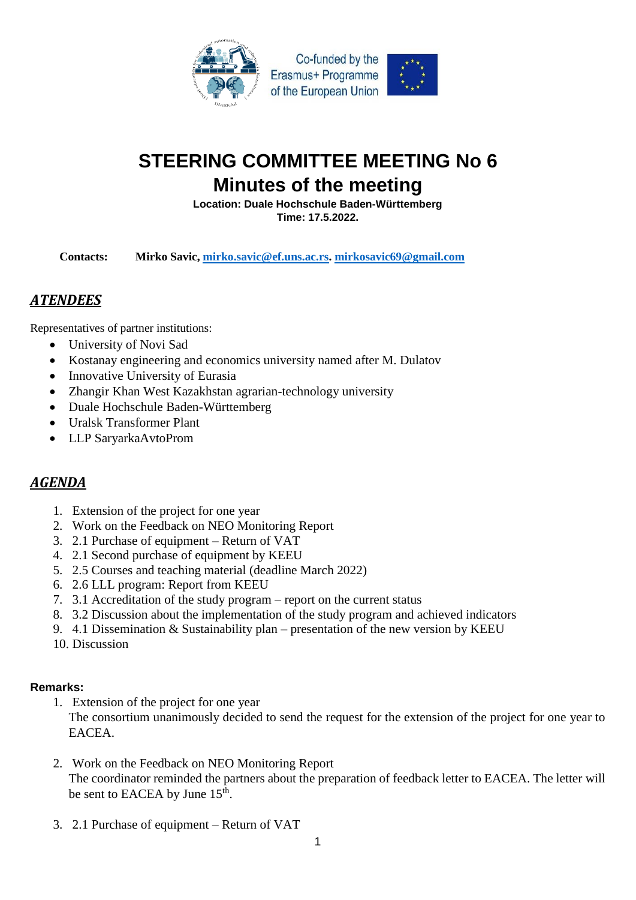

## **STEERING COMMITTEE MEETING No 6 Minutes of the meeting**

**Location: Duale Hochschule Baden-Württemberg Time: 17.5.2022.**

**Contacts: Mirko Savic, [mirko.savic@ef.uns.ac.rs.](mailto:mirko.savic@ef.uns.ac.rs) [mirkosavic69@gmail.com](mailto:mirkosavic69@gmail.com)**

## *ATENDEES*

Representatives of partner institutions:

- University of Novi Sad
- Kostanay engineering and economics university named after M. Dulatov
- Innovative University of Eurasia
- Zhangir Khan West Kazakhstan agrarian-technology university
- Duale Hochschule Baden-Württemberg
- Uralsk Transformer Plant
- LLP SaryarkaAvtoProm

## *AGENDA*

- 1. Extension of the project for one year
- 2. Work on the Feedback on NEO Monitoring Report
- 3. 2.1 Purchase of equipment Return of VAT
- 4. 2.1 Second purchase of equipment by KEEU
- 5. 2.5 Courses and teaching material (deadline March 2022)
- 6. 2.6 LLL program: Report from KEEU
- 7. 3.1 Accreditation of the study program report on the current status
- 8. 3.2 Discussion about the implementation of the study program and achieved indicators
- 9. 4.1 Dissemination & Sustainability plan presentation of the new version by KEEU
- 10. Discussion

## **Remarks:**

- 1. Extension of the project for one year The consortium unanimously decided to send the request for the extension of the project for one year to EACEA.
- 2. Work on the Feedback on NEO Monitoring Report The coordinator reminded the partners about the preparation of feedback letter to EACEA. The letter will be sent to EACEA by June 15<sup>th</sup>.
- 3. 2.1 Purchase of equipment Return of VAT